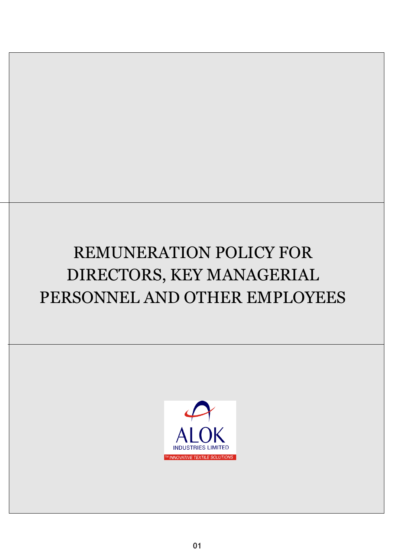# REMUNERATION POLICY FOR DIRECTORS, KEY MANAGERIAL PERSONNEL AND OTHER EMPLOYEES

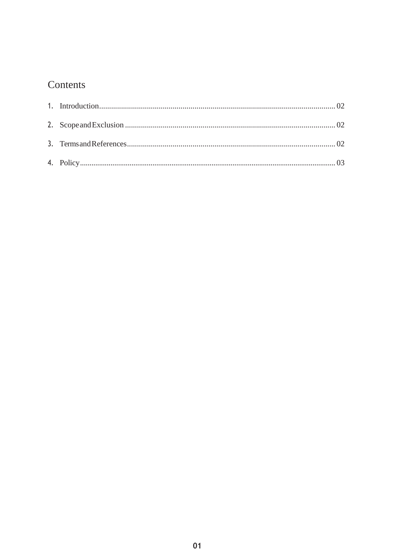# Contents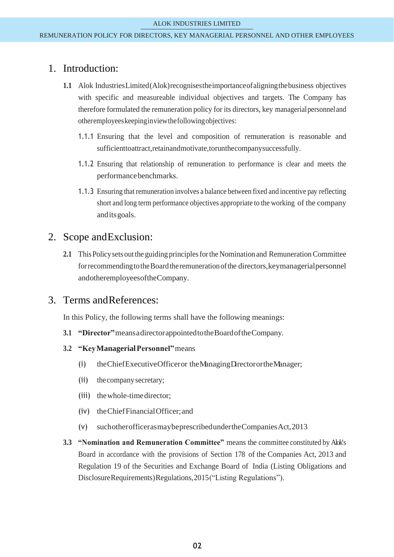#### <span id="page-2-0"></span>1. Introduction:

- **1.1** Alok IndustriesLimited(Alok)recognisestheimportanceofaligningthebusiness objectives with specific and measureable individual objectives and targets. The Company has therefore formulated the remuneration policy for its directors, key managerialpersonneland otheremployeeskeepinginviewthefollowingobjectives:
	- 1.1.1 Ensuring that the level and composition of remuneration is reasonable and sufficienttoattract,retainandmotivate,torunthecompanysuccessfully.
	- 1.1.2 Ensuring that relationship of remuneration to performance is clear and meets the performancebenchmarks.
	- 1.1.3 Ensuring that remuneration involves a balance between fixed and incentive pay reflecting short and long term performance objectives appropriate to the working of the company anditsgoals.

## <span id="page-2-1"></span>2. Scope andExclusion:

**2.1** This Policy sets out the guiding principles for the Nomination and Remuneration Committee for recommending to the Board the remuneration of the directors, keymanagerial personnel andotheremployeesoftheCompany.

#### <span id="page-2-2"></span>3. Terms andReferences:

In this Policy, the following terms shall have the following meanings:

- **3.1 "Director"**meansadirectorappointedtotheBoardoftheCompany.
- **3.2 "KeyManagerialPersonnel"**means
	- (i) theChiefExecutiveOfficeror theManagingDirectorortheManager;
	- (ii) thecompanysecretary;
	- (iii) thewhole-timedirector;
	- (iv) theChiefFinancialOfficer;and
	- (v) suchotherofficerasmaybeprescribedundertheCompaniesAct,2013
- **3.3 "Nomination and Remuneration Committee"** means the committee constituted by Alok's Board in accordance with the provisions of Section 178 of the Companies Act, 2013 and Regulation 19 of the Securities and Exchange Board of India (Listing Obligations and DisclosureRequirements)Regulations,2015("Listing Regulations").